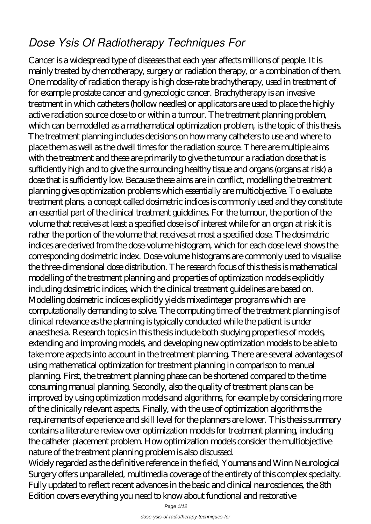## *Dose Ysis Of Radiotherapy Techniques For*

Cancer is a widespread type of diseases that each year affects millions of people. It is mainly treated by chemotherapy, surgery or radiation therapy, or a combination of them. One modality of radiation therapy is high dose-rate brachytherapy, used in treatment of for example prostate cancer and gynecologic cancer. Brachytherapy is an invasive treatment in which catheters (hollow needles) or applicators are used to place the highly active radiation source close to or within a tumour. The treatment planning problem, which can be modelled as a mathematical optimization problem, is the topic of this thesis. The treatment planning includes decisions on how many catheters to use and where to place them as well as the dwell times for the radiation source. There are multiple aims with the treatment and these are primarily to give the tumour a radiation dose that is sufficiently high and to give the surrounding healthy tissue and organs (organs at risk) a dose that is sufficiently low. Because these aims are in conflict, modelling the treatment planning gives optimization problems which essentially are multiobjective. To evaluate treatment plans, a concept called dosimetric indices is commonly used and they constitute an essential part of the clinical treatment guidelines. For the tumour, the portion of the volume that receives at least a specified dose is of interest while for an organ at risk it is rather the portion of the volume that receives at most a specified dose. The dosimetric indices are derived from the dose-volume histogram, which for each dose level shows the corresponding dosimetric index. Dose-volume histograms are commonly used to visualise the three-dimensional dose distribution. The research focus of this thesis is mathematical modelling of the treatment planning and properties of optimization models explicitly including dosimetric indices, which the clinical treatment guidelines are based on. Modelling dosimetric indices explicitly yields mixedinteger programs which are computationally demanding to solve. The computing time of the treatment planning is of clinical relevance as the planning is typically conducted while the patient is under anaesthesia. Research topics in this thesis include both studying properties of models, extending and improving models, and developing new optimization models to be able to take more aspects into account in the treatment planning. There are several advantages of using mathematical optimization for treatment planning in comparison to manual planning. First, the treatment planning phase can be shortened compared to the time consuming manual planning. Secondly, also the quality of treatment plans can be improved by using optimization models and algorithms, for example by considering more of the clinically relevant aspects. Finally, with the use of optimization algorithms the requirements of experience and skill level for the planners are lower. This thesis summary contains a literature review over optimization models for treatment planning, including the catheter placement problem. How optimization models consider the multiobjective nature of the treatment planning problem is also discussed.

Widely regarded as the definitive reference in the field, Youmans and Winn Neurological Surgery offers unparalleled, multimedia coverage of the entirety of this complex specialty. Fully updated to reflect recent advances in the basic and clinical neurosciences, the 8th Edition covers everything you need to know about functional and restorative

Page 1/12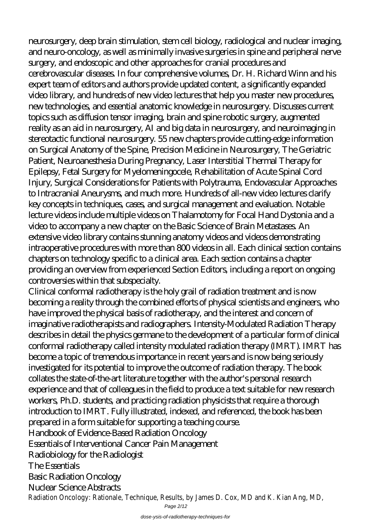neurosurgery, deep brain stimulation, stem cell biology, radiological and nuclear imaging, and neuro-oncology, as well as minimally invasive surgeries in spine and peripheral nerve surgery, and endoscopic and other approaches for cranial procedures and cerebrovascular diseases. In four comprehensive volumes, Dr. H. Richard Winn and his expert team of editors and authors provide updated content, a significantly expanded video library, and hundreds of new video lectures that help you master new procedures, new technologies, and essential anatomic knowledge in neurosurgery. Discusses current topics such as diffusion tensor imaging, brain and spine robotic surgery, augmented reality as an aid in neurosurgery, AI and big data in neurosurgery, and neuroimaging in stereotactic functional neurosurgery. 55 new chapters provide cutting-edge information on Surgical Anatomy of the Spine, Precision Medicine in Neurosurgery, The Geriatric Patient, Neuroanesthesia During Pregnancy, Laser Interstitial Thermal Therapy for Epilepsy, Fetal Surgery for Myelomeningocele, Rehabilitation of Acute Spinal Cord Injury, Surgical Considerations for Patients with Polytrauma, Endovascular Approaches to Intracranial Aneurysms, and much more. Hundreds of all-new video lectures clarify key concepts in techniques, cases, and surgical management and evaluation. Notable lecture videos include multiple videos on Thalamotomy for Focal Hand Dystonia and a video to accompany a new chapter on the Basic Science of Brain Metastases. An extensive video library contains stunning anatomy videos and videos demonstrating intraoperative procedures with more than 800 videos in all. Each clinical section contains chapters on technology specific to a clinical area. Each section contains a chapter providing an overview from experienced Section Editors, including a report on ongoing controversies within that subspecialty.

Clinical conformal radiotherapy is the holy grail of radiation treatment and is now becoming a reality through the combined efforts of physical scientists and engineers, who have improved the physical basis of radiotherapy, and the interest and concern of imaginative radiotherapists and radiographers. Intensity-Modulated Radiation Therapy describes in detail the physics germane to the development of a particular form of clinical conformal radiotherapy called intensity modulated radiation therapy (IMRT). IMRT has become a topic of tremendous importance in recent years and is now being seriously investigated for its potential to improve the outcome of radiation therapy. The book collates the state-of-the-art literature together with the author's personal research experience and that of colleagues in the field to produce a text suitable for new research workers, Ph.D. students, and practicing radiation physicists that require a thorough introduction to IMRT. Fully illustrated, indexed, and referenced, the book has been prepared in a form suitable for supporting a teaching course. Handbook of Evidence-Based Radiation Oncology Essentials of Interventional Cancer Pain Management Radiobiology for the Radiologist The Essentials Basic Radiation Oncology Nuclear Science Abstracts Radiation Oncology: Rationale, Technique, Results, by James D. Cox, MD and K. Kian Ang

Page 2/12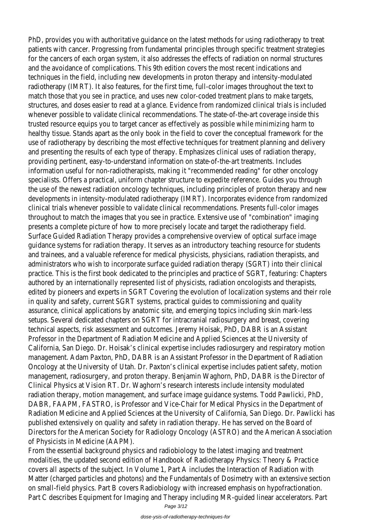PhD, provides you with authoritative quidance on the latest methods for using radiotherapy patients with cancer. Progressing from fundamental principles through specific treatn for the cancers of each organ system, it also addresses the effects of radiation on no and the avoidance of complications. This 9th edition covers the most recent indication techniques in the field, including new developments in proton therapy and intensity-m radiotherapy (IMRT). It also features, for the first time, full-color images throughout to match those that you see in practice, and uses new color-coded treatment plans to r structures, and doses easier to read at a glance. Evidence from randomized clinical trials whenever possible to validate clinical recommendations. The state-of-the-art coverage trusted resource equips you to target cancer as effectively as possible while minimizing healthy tissue. Stands apart as the only book in the field to cover the conceptual framework for the stands apart as the only the form of the conceptual framework. use of radiotherapy by describing the most effective techniques for treatment planning and presenting the results of each type of therapy. Emphasizes clinical uses of radiati providing pertinent, easy-to-understand information on state-of-the-art treatments. In information useful for non-radiotherapists, making it "recommended reading" for other specialists. Offers a practical, uniform chapter structure to expedite reference. Guides the use of the newest radiation oncology techniques, including principles of proton th developments in intensity-modulated radiotherapy (IMRT). Incorporates evidence from clinical trials whenever possible to validate clinical recommendations. Presents full-color throughout to match the images that you see in practice. Extensive use of "combinat presents a complete picture of how to more precisely locate and target the radiother Surface Guided Radiation Therapy provides a comprehensive overview of optical surface guidance systems for radiation therapy. It serves as an introductory teaching resourc and trainees, and a valuable reference for medical physicists, physicians, radiation ther administrators who wish to incorporate surface quided radiation therapy (SGRT) into practice. This is the first book dedicated to the principles and practice of SGRT, featuring authored by an internationally represented list of physicists, radiation oncologists and edited by pioneers and experts in SGRT Covering the evolution of localization systems in quality and safety, current SGRT systems, practical quides to commissioning and qu assurance, clinical applications by anatomic site, and emerging topics including skin ma setups. Several dedicated chapters on SGRT for intracranial radiosurgery and breast, c technical aspects, risk assessment and outcomes. Jeremy Hoisak, PhD, DABR is an Ass Professor in the Department of Radiation Medicine and Applied Sciences at the Univer California, San Diego. Dr. Hoisak's clinical expertise includes radiosurgery and respirato management. Adam Paxton, PhD, DABR is an Assistant Professor in the Department of Oncology at the University of Utah. Dr. Paxton's clinical expertise includes patient safe management, radiosurgery, and proton therapy. Benjamin Waghorn, PhD, DABR is the D Clinical Physics at Vision RT. Dr. Waghorn's research interests include intensity modula radiation therapy, motion management, and surface image guidance systems. Todd Paw DABR, FAAPM, FASTRO, is Professor and Vice-Chair for Medical Physics in the Departm Radiation Medicine and Applied Sciences at the University of California, San Diego. Dr. published extensively on quality and safety in radiation therapy. He has served on the Directors for the American Society for Radiology Oncology (ASTRO) and the American. of Physicists in Medicine (AAPM).

From the essential background physics and radiobiology to the latest imaging and treat modalities, the updated second edition of Handbook of Radiotherapy Physics: Theory & covers all aspects of the subject. In Volume 1, Part A includes the Interaction of Radia Matter (charged particles and photons) and the Fundamentals of Dosimetry with an  $\epsilon$ on small-field physics. Part B covers Radiobiology with increased emphasis on hypofraction. Part C describes Equipment for Imaging and Therapy including MR-guided linear accele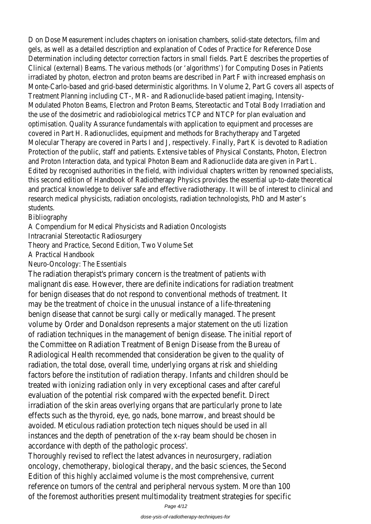D on Dose Measurement includes chapters on ionisation chambers, solid-state detectors gels, as well as a detailed description and explanation of Codes of Practice for Refere Determination including detector correction factors in small fields. Part E describes the Clinical (external) Beams. The various methods (or 'algorithms') for Computing Doses in irradiated by photon, electron and proton beams are described in Part F with increase Monte-Carlo-based and grid-based deterministic algorithms. In Volume 2, Part G cover Treatment Planning including CT-, MR- and Radionuclide-based patient imaging, Intensity-Modulated Photon Beams, Electron and Proton Beams, Stereotactic and Total Body Irr the use of the dosimetric and radiobiological metrics TCP and NTCP for plan evaluation optimisation. Quality Assurance fundamentals with application to equipment and proce covered in Part H. Radionuclides, equipment and methods for Brachytherapy and Targe Molecular Therapy are covered in Parts I and J, respectively. Finally, Part K is devoted Protection of the public, staff and patients. Extensive tables of Physical Constants, Pl and Proton Interaction data, and typical Photon Beam and Radionuclide data are given Edited by recognised authorities in the field, with individual chapters written by renov this second edition of Handbook of Radiotherapy Physics provides the essential up-toand practical knowledge to deliver safe and effective radiotherapy. It will be of interest research medical physicists, radiation oncologists, radiation technologists, PhD and Ma students.

Bibliography

A Compendium for Medical Physicists and Radiation Oncologists

Intracranial Stereotactic Radiosurgery

Theory and Practice, Second Edition, Two Volume Set

A Practical Handbook

Neuro-Oncology: The Essentials

The radiation therapist's primary concern is the treatment of patients with malignant dis ease. However, there are definite indications for radiation treatment for benign diseases that do not respond to conventional methods of treatment may be the treatment of choice in the unusual instance of a life-threatening benign disease that cannot be surgi cally or medically managed. The present volume by Order and Donaldson represents a major statement on the uti lization of radiation techniques in the management of benign disease. The initial report the Committee on Radiation Treatment of Benign Disease from the Bureau of Radiological Health recommended that consideration be given to the quality of radiation, the total dose, overall time, underlying organs at risk and shielding factors before the institution of radiation therapy. Infants and children should I treated with ionizing radiation only in very exceptional cases and after careful evaluation of the potential risk compared with the expected benefit. Direct irradiation of the skin areas overlying organs that are particularly prone to late effects such as the thyroid, eye, go nads, bone marrow, and breast should be avoided. Meticulous radiation protection tech niques should be used in all instances and the depth of penetration of the x-ray beam should be chosen in accordance with depth of the pathologic process'.

Thoroughly revised to reflect the latest advances in neurosurgery, radiation oncology, chemotherapy, biological therapy, and the basic sciences, the Second Edition of this highly acclaimed volume is the most comprehensive, current reference on tumors of the central and peripheral nervous system. More than 1 of the foremost authorities present multimodality treatment strategies for spe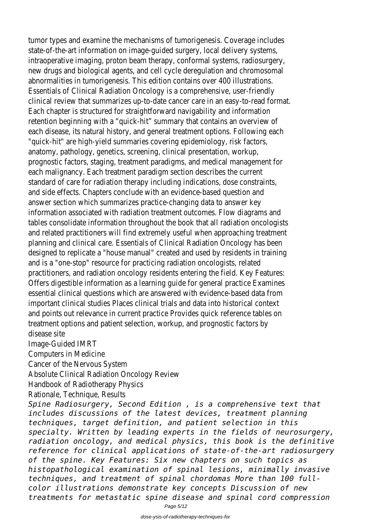tumor types and examine the mechanisms of tumorigenesis. Coverage includes state-of-the-art information on image-guided surgery, local delivery systems, intraoperative imaging, proton beam therapy, conformal systems, radiosurgery, new drugs and biological agents, and cell cycle deregulation and chromosomal abnormalities in tumorigenesis. This edition contains over 400 illustrations. Essentials of Clinical Radiation Oncology is a comprehensive, user-friendly clinical review that summarizes up-to-date cancer care in an easy-to-read form Each chapter is structured for straightforward navigability and information retention beginning with a "quick-hit" summary that contains an overview of each disease, its natural history, and general treatment options. Following each "quick-hit" are high-yield summaries covering epidemiology, risk factors, anatomy, pathology, genetics, screening, clinical presentation, workup, prognostic factors, staging, treatment paradigms, and medical management for each malignancy. Each treatment paradigm section describes the current standard of care for radiation therapy including indications, dose constraints, and side effects. Chapters conclude with an evidence-based question and answer section which summarizes practice-changing data to answer key information associated with radiation treatment outcomes. Flow diagrams and tables consolidate information throughout the book that all radiation oncologisti and related practitioners will find extremely useful when approaching treatmen planning and clinical care. Essentials of Clinical Radiation Oncology has been designed to replicate a "house manual" created and used by residents in training and is a "one-stop" resource for practicing radiation oncologists, related practitioners, and radiation oncology residents entering the field. Key Features: Offers digestible information as a learning guide for general practice Examines essential clinical questions which are answered with evidence-based data from important clinical studies Places clinical trials and data into historical context and points out relevance in current practice Provides quick reference tables on treatment options and patient selection, workup, and prognostic factors by disease site Image-Guided IMRT Computers in Medicine Cancer of the Nervous System Absolute Clinical Radiation Oncology Review Handbook of Radiotherapy Physics Rationale, Technique, Results *Spine Radiosurgery, Second Edition , is a comprehensive text that includes discussions of the latest devices, treatment planning techniques, target definition, and patient selection in this specialty. Written by leading experts in the fields of neurosurgery, radiation oncology, and medical physics, this book is the definitive reference for clinical applications of state-of-the-art radiosurgery of the spine. Key Features: Six new chapters on such topics as histopathological examination of spinal lesions, minimally invasive*

*techniques, and treatment of spinal chordomas More than 100 fullcolor illustrations demonstrate key concepts Discussion of new treatments for metastatic spine disease and spinal cord compression*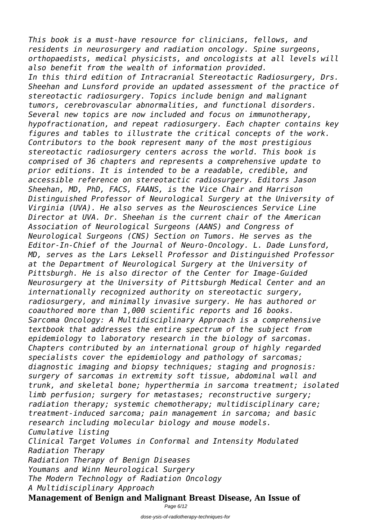*This book is a must-have resource for clinicians, fellows, and residents in neurosurgery and radiation oncology. Spine surgeons, orthopaedists, medical physicists, and oncologists at all levels will also benefit from the wealth of information provided. In this third edition of Intracranial Stereotactic Radiosurgery, Drs. Sheehan and Lunsford provide an updated assessment of the practice of stereotactic radiosurgery. Topics include benign and malignant tumors, cerebrovascular abnormalities, and functional disorders. Several new topics are now included and focus on immunotherapy, hypofractionation, and repeat radiosurgery. Each chapter contains key figures and tables to illustrate the critical concepts of the work. Contributors to the book represent many of the most prestigious stereotactic radiosurgery centers across the world. This book is comprised of 36 chapters and represents a comprehensive update to prior editions. It is intended to be a readable, credible, and accessible reference on stereotactic radiosurgery. Editors Jason Sheehan, MD, PhD, FACS, FAANS, is the Vice Chair and Harrison Distinguished Professor of Neurological Surgery at the University of Virginia (UVA). He also serves as the Neurosciences Service Line Director at UVA. Dr. Sheehan is the current chair of the American Association of Neurological Surgeons (AANS) and Congress of Neurological Surgeons (CNS) Section on Tumors. He serves as the Editor-In-Chief of the Journal of Neuro-Oncology. L. Dade Lunsford, MD, serves as the Lars Leksell Professor and Distinguished Professor at the Department of Neurological Surgery at the University of Pittsburgh. He is also director of the Center for Image-Guided Neurosurgery at the University of Pittsburgh Medical Center and an internationally recognized authority on stereotactic surgery, radiosurgery, and minimally invasive surgery. He has authored or coauthored more than 1,000 scientific reports and 16 books. Sarcoma Oncology: A Multidisciplinary Approach is a comprehensive textbook that addresses the entire spectrum of the subject from epidemiology to laboratory research in the biology of sarcomas. Chapters contributed by an international group of highly regarded specialists cover the epidemiology and pathology of sarcomas; diagnostic imaging and biopsy techniques; staging and prognosis: surgery of sarcomas in extremity soft tissue, abdominal wall and trunk, and skeletal bone; hyperthermia in sarcoma treatment; isolated limb perfusion; surgery for metastases; reconstructive surgery; radiation therapy; systemic chemotherapy; multidisciplinary care; treatment-induced sarcoma; pain management in sarcoma; and basic research including molecular biology and mouse models. Cumulative listing Clinical Target Volumes in Conformal and Intensity Modulated Radiation Therapy Radiation Therapy of Benign Diseases Youmans and Winn Neurological Surgery The Modern Technology of Radiation Oncology A Multidisciplinary Approach*

**Management of Benign and Malignant Breast Disease, An Issue of**

Page 6/12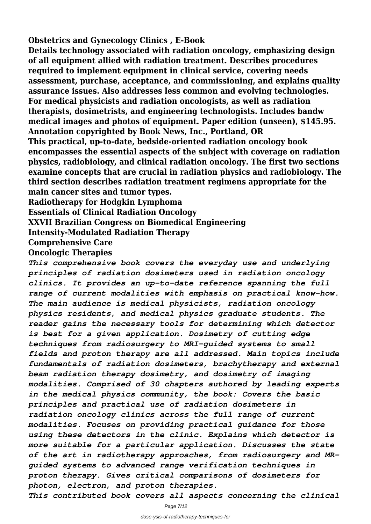**Obstetrics and Gynecology Clinics , E-Book**

**Details technology associated with radiation oncology, emphasizing design of all equipment allied with radiation treatment. Describes procedures required to implement equipment in clinical service, covering needs assessment, purchase, acceptance, and commissioning, and explains quality assurance issues. Also addresses less common and evolving technologies. For medical physicists and radiation oncologists, as well as radiation therapists, dosimetrists, and engineering technologists. Includes bandw medical images and photos of equipment. Paper edition (unseen), \$145.95. Annotation copyrighted by Book News, Inc., Portland, OR This practical, up-to-date, bedside-oriented radiation oncology book encompasses the essential aspects of the subject with coverage on radiation**

**physics, radiobiology, and clinical radiation oncology. The first two sections examine concepts that are crucial in radiation physics and radiobiology. The third section describes radiation treatment regimens appropriate for the main cancer sites and tumor types.**

**Radiotherapy for Hodgkin Lymphoma**

**Essentials of Clinical Radiation Oncology**

**XXVII Brazilian Congress on Biomedical Engineering**

**Intensity-Modulated Radiation Therapy**

**Comprehensive Care**

## **Oncologic Therapies**

*This comprehensive book covers the everyday use and underlying principles of radiation dosimeters used in radiation oncology clinics. It provides an up-to-date reference spanning the full range of current modalities with emphasis on practical know-how. The main audience is medical physicists, radiation oncology physics residents, and medical physics graduate students. The reader gains the necessary tools for determining which detector is best for a given application. Dosimetry of cutting edge techniques from radiosurgery to MRI-guided systems to small fields and proton therapy are all addressed. Main topics include fundamentals of radiation dosimeters, brachytherapy and external beam radiation therapy dosimetry, and dosimetry of imaging modalities. Comprised of 30 chapters authored by leading experts in the medical physics community, the book: Covers the basic principles and practical use of radiation dosimeters in radiation oncology clinics across the full range of current modalities. Focuses on providing practical guidance for those using these detectors in the clinic. Explains which detector is more suitable for a particular application. Discusses the state of the art in radiotherapy approaches, from radiosurgery and MRguided systems to advanced range verification techniques in proton therapy. Gives critical comparisons of dosimeters for photon, electron, and proton therapies. This contributed book covers all aspects concerning the clinical*

Page 7/12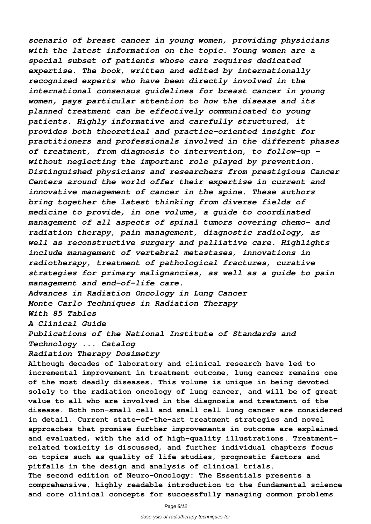*scenario of breast cancer in young women, providing physicians with the latest information on the topic. Young women are a special subset of patients whose care requires dedicated expertise. The book, written and edited by internationally recognized experts who have been directly involved in the international consensus guidelines for breast cancer in young women, pays particular attention to how the disease and its planned treatment can be effectively communicated to young patients. Highly informative and carefully structured, it provides both theoretical and practice-oriented insight for practitioners and professionals involved in the different phases of treatment, from diagnosis to intervention, to follow-up – without neglecting the important role played by prevention. Distinguished physicians and researchers from prestigious Cancer Centers around the world offer their expertise in current and innovative management of cancer in the spine. These authors bring together the latest thinking from diverse fields of medicine to provide, in one volume, a guide to coordinated management of all aspects of spinal tumors covering chemo- and radiation therapy, pain management, diagnostic radiology, as well as reconstructive surgery and palliative care. Highlights include management of vertebral metastases, innovations in radiotherapy, treatment of pathological fractures, curative strategies for primary malignancies, as well as a guide to pain management and end-of-life care.*

*Advances in Radiation Oncology in Lung Cancer Monte Carlo Techniques in Radiation Therapy With 85 Tables*

*A Clinical Guide*

*Publications of the National Institute of Standards and Technology ... Catalog*

*Radiation Therapy Dosimetry*

**Although decades of laboratory and clinical research have led to incremental improvement in treatment outcome, lung cancer remains one of the most deadly diseases. This volume is unique in being devoted solely to the radiation oncology of lung cancer, and will be of great value to all who are involved in the diagnosis and treatment of the disease. Both non-small cell and small cell lung cancer are considered in detail. Current state-of-the-art treatment strategies and novel approaches that promise further improvements in outcome are explained and evaluated, with the aid of high-quality illustrations. Treatmentrelated toxicity is discussed, and further individual chapters focus on topics such as quality of life studies, prognostic factors and pitfalls in the design and analysis of clinical trials. The second edition of Neuro-Oncology: The Essentials presents a comprehensive, highly readable introduction to the fundamental science and core clinical concepts for successfully managing common problems**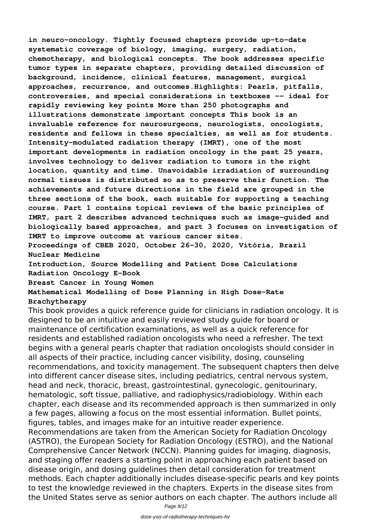**in neuro-oncology. Tightly focused chapters provide up-to-date systematic coverage of biology, imaging, surgery, radiation, chemotherapy, and biological concepts. The book addresses specific tumor types in separate chapters, providing detailed discussion of background, incidence, clinical features, management, surgical approaches, recurrence, and outcomes.Highlights: Pearls, pitfalls, controversies, and special considerations in textboxes -- ideal for rapidly reviewing key points More than 250 photographs and illustrations demonstrate important concepts This book is an invaluable reference for neurosurgeons, neurologists, oncologists, residents and fellows in these specialties, as well as for students. Intensity-modulated radiation therapy (IMRT), one of the most important developments in radiation oncology in the past 25 years, involves technology to deliver radiation to tumors in the right location, quantity and time. Unavoidable irradiation of surrounding normal tissues is distributed so as to preserve their function. The achievements and future directions in the field are grouped in the three sections of the book, each suitable for supporting a teaching course. Part 1 contains topical reviews of the basic principles of IMRT, part 2 describes advanced techniques such as image-guided and biologically based approaches, and part 3 focuses on investigation of IMRT to improve outcome at various cancer sites.**

**Proceedings of CBEB 2020, October 26–30, 2020, Vitória, Brazil Nuclear Medicine**

**Introduction, Source Modelling and Patient Dose Calculations Radiation Oncology E-Book**

**Breast Cancer in Young Women**

**Mathematical Modelling of Dose Planning in High Dose-Rate Brachytherapy**

This book provides a quick reference guide for clinicians in radiation oncology. It is designed to be an intuitive and easily reviewed study guide for board or maintenance of certification examinations, as well as a quick reference for residents and established radiation oncologists who need a refresher. The text begins with a general pearls chapter that radiation oncologists should consider in all aspects of their practice, including cancer visibility, dosing, counseling recommendations, and toxicity management. The subsequent chapters then delve into different cancer disease sites, including pediatrics, central nervous system, head and neck, thoracic, breast, gastrointestinal, gynecologic, genitourinary, hematologic, soft tissue, palliative, and radiophysics/radiobiology. Within each chapter, each disease and its recommended approach is then summarized in only a few pages, allowing a focus on the most essential information. Bullet points, figures, tables, and images make for an intuitive reader experience.

Recommendations are taken from the American Society for Radiation Oncology (ASTRO), the European Society for Radiation Oncology (ESTRO), and the National Comprehensive Cancer Network (NCCN). Planning guides for imaging, diagnosis, and staging offer readers a starting point in approaching each patient based on disease origin, and dosing guidelines then detail consideration for treatment methods. Each chapter additionally includes disease-specific pearls and key points to test the knowledge reviewed in the chapters. Experts in the disease sites from the United States serve as senior authors on each chapter. The authors include all

Page 9/12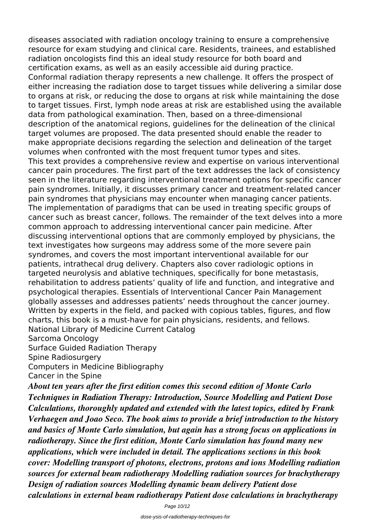diseases associated with radiation oncology training to ensure a comprehensive resource for exam studying and clinical care. Residents, trainees, and established radiation oncologists find this an ideal study resource for both board and certification exams, as well as an easily accessible aid during practice. Conformal radiation therapy represents a new challenge. It offers the prospect of either increasing the radiation dose to target tissues while delivering a similar dose to organs at risk, or reducing the dose to organs at risk while maintaining the dose to target tissues. First, lymph node areas at risk are established using the available data from pathological examination. Then, based on a three-dimensional description of the anatomical regions, guidelines for the delineation of the clinical target volumes are proposed. The data presented should enable the reader to make appropriate decisions regarding the selection and delineation of the target volumes when confronted with the most frequent tumor types and sites. This text provides a comprehensive review and expertise on various interventional cancer pain procedures. The first part of the text addresses the lack of consistency seen in the literature regarding interventional treatment options for specific cancer pain syndromes. Initially, it discusses primary cancer and treatment-related cancer pain syndromes that physicians may encounter when managing cancer patients. The implementation of paradigms that can be used in treating specific groups of cancer such as breast cancer, follows. The remainder of the text delves into a more common approach to addressing interventional cancer pain medicine. After discussing interventional options that are commonly employed by physicians, the text investigates how surgeons may address some of the more severe pain syndromes, and covers the most important interventional available for our patients, intrathecal drug delivery. Chapters also cover radiologic options in targeted neurolysis and ablative techniques, specifically for bone metastasis, rehabilitation to address patients' quality of life and function, and integrative and psychological therapies. Essentials of Interventional Cancer Pain Management globally assesses and addresses patients' needs throughout the cancer journey. Written by experts in the field, and packed with copious tables, figures, and flow charts, this book is a must-have for pain physicians, residents, and fellows. National Library of Medicine Current Catalog Sarcoma Oncology Surface Guided Radiation Therapy Spine Radiosurgery Computers in Medicine Bibliography Cancer in the Spine *About ten years after the first edition comes this second edition of Monte Carlo Techniques in Radiation Therapy: Introduction, Source Modelling and Patient Dose Calculations, thoroughly updated and extended with the latest topics, edited by Frank Verhaegen and Joao Seco. The book aims to provide a brief introduction to the history and basics of Monte Carlo simulation, but again has a strong focus on applications in*

*radiotherapy. Since the first edition, Monte Carlo simulation has found many new applications, which were included in detail. The applications sections in this book cover: Modelling transport of photons, electrons, protons and ions Modelling radiation sources for external beam radiotherapy Modelling radiation sources for brachytherapy Design of radiation sources Modelling dynamic beam delivery Patient dose calculations in external beam radiotherapy Patient dose calculations in brachytherapy*

Page 10/12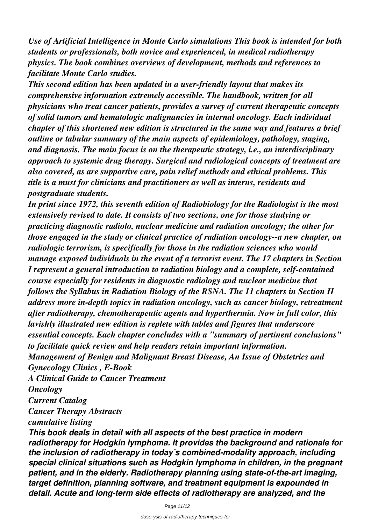*Use of Artificial Intelligence in Monte Carlo simulations This book is intended for both students or professionals, both novice and experienced, in medical radiotherapy physics. The book combines overviews of development, methods and references to facilitate Monte Carlo studies.*

*This second edition has been updated in a user-friendly layout that makes its comprehensive information extremely accessible. The handbook, written for all physicians who treat cancer patients, provides a survey of current therapeutic concepts of solid tumors and hematologic malignancies in internal oncology. Each individual chapter of this shortened new edition is structured in the same way and features a brief outline or tabular summary of the main aspects of epidemiology, pathology, staging, and diagnosis. The main focus is on the therapeutic strategy, i.e., an interdisciplinary approach to systemic drug therapy. Surgical and radiological concepts of treatment are also covered, as are supportive care, pain relief methods and ethical problems. This title is a must for clinicians and practitioners as well as interns, residents and postgraduate students.*

*In print since 1972, this seventh edition of Radiobiology for the Radiologist is the most extensively revised to date. It consists of two sections, one for those studying or practicing diagnostic radiolo, nuclear medicine and radiation oncology; the other for those engaged in the study or clinical practice of radiation oncology--a new chapter, on radiologic terrorism, is specifically for those in the radiation sciences who would manage exposed individuals in the event of a terrorist event. The 17 chapters in Section I represent a general introduction to radiation biology and a complete, self-contained course especially for residents in diagnostic radiology and nuclear medicine that follows the Syllabus in Radiation Biology of the RSNA. The 11 chapters in Section II address more in-depth topics in radiation oncology, such as cancer biology, retreatment after radiotherapy, chemotherapeutic agents and hyperthermia. Now in full color, this lavishly illustrated new edition is replete with tables and figures that underscore essential concepts. Each chapter concludes with a "summary of pertinent conclusions" to facilitate quick review and help readers retain important information. Management of Benign and Malignant Breast Disease, An Issue of Obstetrics and Gynecology Clinics , E-Book A Clinical Guide to Cancer Treatment Oncology*

*Current Catalog*

*Cancer Therapy Abstracts*

*cumulative listing*

*This book deals in detail with all aspects of the best practice in modern radiotherapy for Hodgkin lymphoma. It provides the background and rationale for the inclusion of radiotherapy in today's combined-modality approach, including special clinical situations such as Hodgkin lymphoma in children, in the pregnant patient, and in the elderly. Radiotherapy planning using state-of-the-art imaging, target definition, planning software, and treatment equipment is expounded in detail. Acute and long-term side effects of radiotherapy are analyzed, and the*